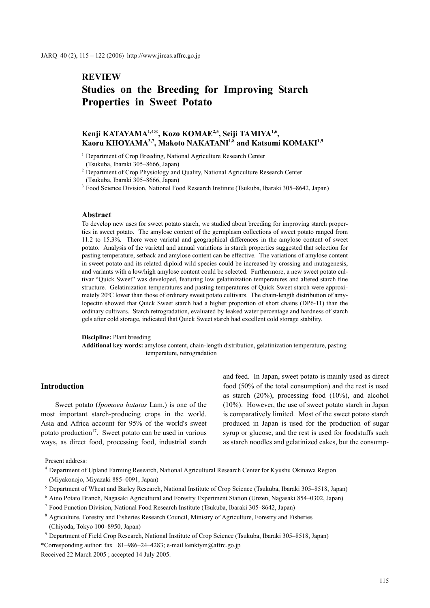# **REVIEW**

# **Studies on the Breeding for Improving Starch Properties in Sweet Potato**

## **Kenji KATAYAMA1,4**\***, Kozo KOMAE2,5, Seiji TAMIYA1,6, Kaoru KHOYAMA3,7, Makoto NAKATANI1,8 and Katsumi KOMAKI1,9**

<sup>1</sup> Department of Crop Breeding, National Agriculture Research Center (Tsukuba, Ibaraki 305–8666, Japan)

<sup>2</sup> Department of Crop Physiology and Quality, National Agriculture Research Center (Tsukuba, Ibaraki 305–8666, Japan)

<sup>3</sup> Food Science Division, National Food Research Institute (Tsukuba, Ibaraki 305–8642, Japan)

#### **Abstract**

To develop new uses for sweet potato starch, we studied about breeding for improving starch properties in sweet potato. The amylose content of the germplasm collections of sweet potato ranged from 11.2 to 15.3%. There were varietal and geographical differences in the amylose content of sweet potato. Analysis of the varietal and annual variations in starch properties suggested that selection for pasting temperature, setback and amylose content can be effective. The variations of amylose content in sweet potato and its related diploid wild species could be increased by crossing and mutagenesis, and variants with a low/high amylose content could be selected. Furthermore, a new sweet potato cultivar "Quick Sweet" was developed, featuring low gelatinization temperatures and altered starch fine structure. Gelatinization temperatures and pasting temperatures of Quick Sweet starch were approximately 20ºC lower than those of ordinary sweet potato cultivars. The chain-length distribution of amylopectin showed that Quick Sweet starch had a higher proportion of short chains (DP6-11) than the ordinary cultivars. Starch retrogradation, evaluated by leaked water percentage and hardness of starch gels after cold storage, indicated that Quick Sweet starch had excellent cold storage stability.

**Discipline:** Plant breeding

**Additional key words:** amylose content, chain-length distribution, gelatinization temperature, pasting temperature, retrogradation

#### **Introduction**

Sweet potato (*Ipomoea batatas* Lam.) is one of the most important starch-producing crops in the world. Asia and Africa account for 95% of the world's sweet potato production $17$ . Sweet potato can be used in various ways, as direct food, processing food, industrial starch and feed. In Japan, sweet potato is mainly used as direct food (50% of the total consumption) and the rest is used as starch (20%), processing food (10%), and alcohol (10%). However, the use of sweet potato starch in Japan is comparatively limited. Most of the sweet potato starch produced in Japan is used for the production of sugar syrup or glucose, and the rest is used for foodstuffs such as starch noodles and gelatinized cakes, but the consump-

Present address:

<sup>7</sup> Food Function Division, National Food Research Institute (Tsukuba, Ibaraki 305–8642, Japan)

Received 22 March 2005 ; accepted 14 July 2005.

<sup>4</sup> Department of Upland Farming Research, National Agricultural Research Center for Kyushu Okinawa Region (Miyakonojo, Miyazaki 885–0091, Japan)

<sup>5</sup> Department of Wheat and Barley Research, National Institute of Crop Science (Tsukuba, Ibaraki 305–8518, Japan)

<sup>6</sup> Aino Potato Branch, Nagasaki Agricultural and Forestry Experiment Station (Unzen, Nagasaki 854–0302, Japan)

<sup>8</sup> Agriculture, Forestry and Fisheries Research Council, Ministry of Agriculture, Forestry and Fisheries (Chiyoda, Tokyo 100–8950, Japan)

<sup>9</sup> Department of Field Crop Research, National Institute of Crop Science (Tsukuba, Ibaraki 305–8518, Japan) \*Corresponding author: fax +81–986–24–4283; e-mail kenktym@affrc.go.jp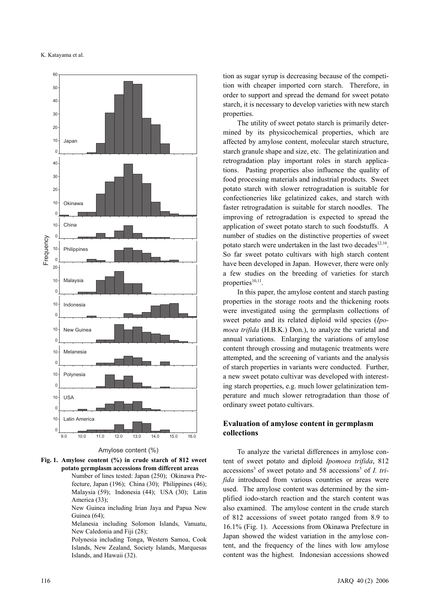

Amylose content (%)

**Fig. 1. Amylose content (%) in crude starch of 812 sweet potato germplasm accessions from different areas**

Number of lines tested: Japan (250); Okinawa Prefecture, Japan (196); China (30); Philippines (46); Malaysia (59); Indonesia (44); USA (30); Latin America (33);

New Guinea including Irian Jaya and Papua New Guinea (64);

Melanesia including Solomon Islands, Vanuatu, New Caledonia and Fiji (28);

Polynesia including Tonga, Western Samoa, Cook Islands, New Zealand, Society Islands, Marquesas Islands, and Hawaii (32).

tion as sugar syrup is decreasing because of the competition with cheaper imported corn starch. Therefore, in order to support and spread the demand for sweet potato starch, it is necessary to develop varieties with new starch properties.

The utility of sweet potato starch is primarily determined by its physicochemical properties, which are affected by amylose content, molecular starch structure, starch granule shape and size, etc. The gelatinization and retrogradation play important roles in starch applications. Pasting properties also influence the quality of food processing materials and industrial products. Sweet potato starch with slower retrogradation is suitable for confectioneries like gelatinized cakes, and starch with faster retrogradation is suitable for starch noodles. The improving of retrogradation is expected to spread the application of sweet potato starch to such foodstuffs. A number of studies on the distinctive properties of sweet potato starch were undertaken in the last two decades<sup>12,16</sup>. So far sweet potato cultivars with high starch content have been developed in Japan. However, there were only a few studies on the breeding of varieties for starch properties $10,11$ .

In this paper, the amylose content and starch pasting properties in the storage roots and the thickening roots were investigated using the germplasm collections of sweet potato and its related diploid wild species (*Ipomoea trifida* (H.B.K.) Don.), to analyze the varietal and annual variations. Enlarging the variations of amylose content through crossing and mutagenic treatments were attempted, and the screening of variants and the analysis of starch properties in variants were conducted. Further, a new sweet potato cultivar was developed with interesting starch properties, e.g. much lower gelatinization temperature and much slower retrogradation than those of ordinary sweet potato cultivars.

### **Evaluation of amylose content in germplasm collections**

To analyze the varietal differences in amylose content of sweet potato and diploid *Ipomoea trifida*, 812 accessions<sup>3</sup> of sweet potato and 58 accessions<sup>5</sup> of *I. trifida* introduced from various countries or areas were used. The amylose content was determined by the simplified iodo-starch reaction and the starch content was also examined. The amylose content in the crude starch of 812 accessions of sweet potato ranged from 8.9 to 16.1% (Fig. 1). Accessions from Okinawa Prefecture in Japan showed the widest variation in the amylose content, and the frequency of the lines with low amylose content was the highest. Indonesian accessions showed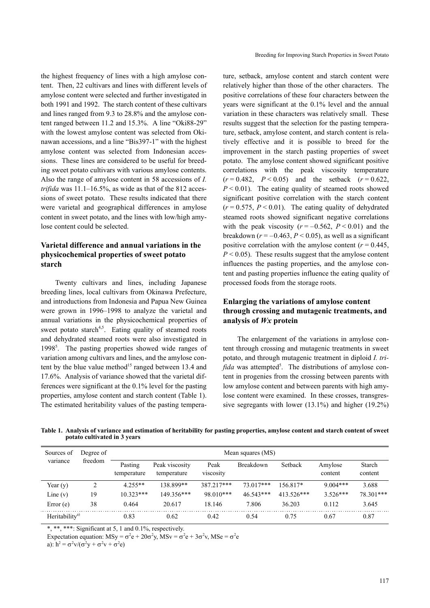the highest frequency of lines with a high amylose content. Then, 22 cultivars and lines with different levels of amylose content were selected and further investigated in both 1991 and 1992. The starch content of these cultivars and lines ranged from 9.3 to 28.8% and the amylose content ranged between 11.2 and 15.3%. A line "Oki88-29" with the lowest amylose content was selected from Okinawan accessions, and a line "Bis397-1" with the highest amylose content was selected from Indonesian accessions. These lines are considered to be useful for breeding sweet potato cultivars with various amylose contents. Also the range of amylose content in 58 accessions of *I. trifida* was 11.1–16.5%, as wide as that of the 812 accessions of sweet potato. These results indicated that there were varietal and geographical differences in amylose content in sweet potato, and the lines with low/high amylose content could be selected.

## **Varietal difference and annual variations in the physicochemical properties of sweet potato starch**

Twenty cultivars and lines, including Japanese breeding lines, local cultivars from Okinawa Prefecture, and introductions from Indonesia and Papua New Guinea were grown in 1996–1998 to analyze the varietal and annual variations in the physicochemical properties of sweet potato starch<sup>4,5</sup>. Eating quality of steamed roots and dehydrated steamed roots were also investigated in 1998<sup>5</sup>. The pasting properties showed wide ranges of variation among cultivars and lines, and the amylose content by the blue value method<sup>15</sup> ranged between 13.4 and 17.6%. Analysis of variance showed that the varietal differences were significant at the 0.1% level for the pasting properties, amylose content and starch content (Table 1). The estimated heritability values of the pasting temperature, setback, amylose content and starch content were relatively higher than those of the other characters. The positive correlations of these four characters between the years were significant at the 0.1% level and the annual variation in these characters was relatively small. These results suggest that the selection for the pasting temperature, setback, amylose content, and starch content is relatively effective and it is possible to breed for the improvement in the starch pasting properties of sweet potato. The amylose content showed significant positive correlations with the peak viscosity temperature  $(r = 0.482, P < 0.05)$  and the setback  $(r = 0.622, P < 0.05)$  $P < 0.01$ ). The eating quality of steamed roots showed significant positive correlation with the starch content  $(r = 0.575, P < 0.01)$ . The eating quality of dehydrated steamed roots showed significant negative correlations with the peak viscosity  $(r = -0.562, P \le 0.01)$  and the breakdown ( $r = -0.463$ ,  $P < 0.05$ ), as well as a significant positive correlation with the amylose content  $(r = 0.445)$ ,  $P < 0.05$ ). These results suggest that the amylose content influences the pasting properties, and the amylose content and pasting properties influence the eating quality of processed foods from the storage roots.

## **Enlarging the variations of amylose content through crossing and mutagenic treatments, and analysis of** *Wx* **protein**

The enlargement of the variations in amylose content through crossing and mutagenic treatments in sweet potato, and through mutagenic treatment in diploid *I. tri*fida was attempted<sup>5</sup>. The distributions of amylose content in progenies from the crossing between parents with low amylose content and between parents with high amylose content were examined. In these crosses, transgressive segregants with lower (13.1%) and higher (19.2%)

**Table 1. Analysis of variance and estimation of heritability for pasting properties, amylose content and starch content of sweet potato cultivated in 3 years**

| Sources of<br>variance     | Degree of<br>freedom | Mean squares (MS)      |                               |                   |                  |             |                    |                   |  |  |  |
|----------------------------|----------------------|------------------------|-------------------------------|-------------------|------------------|-------------|--------------------|-------------------|--|--|--|
|                            |                      | Pasting<br>temperature | Peak viscosity<br>temperature | Peak<br>viscosity | <b>Breakdown</b> | Setback     | Amylose<br>content | Starch<br>content |  |  |  |
| Year $(y)$                 | 2                    | $4.255**$              | 138 899**                     | 387 217***        | 73.017***        | 156.817*    | $9.004***$         | 3.688             |  |  |  |
| Line $(v)$                 | 19                   | $10.323***$            | 149 356***                    | 98 010***         | 46.543***        | $413526***$ | $3.526***$         | 78.301***         |  |  |  |
| Error(e)                   | 38                   | 0.464                  | 20.617                        | 18.146            | 7.806            | 36.203      | 0.112              | 3.645             |  |  |  |
| Heritability <sup>a)</sup> |                      | 0.83                   | 0.62                          | 0.42              | 0.54             | 0.75        | 0.67               | 0.87              |  |  |  |

\*, \*\*, \*\*\*: Significant at 5, 1 and 0.1%, respectively.

Expectation equation: MSy =  $\sigma^2 e + 20\sigma^2 y$ , MSv =  $\sigma^2 e + 3\sigma^2 v$ , MSe =  $\sigma^2 e$ 

a):  $h^2 = \sigma^2 v/(\sigma^2 y + \sigma^2 v + \sigma^2 e)$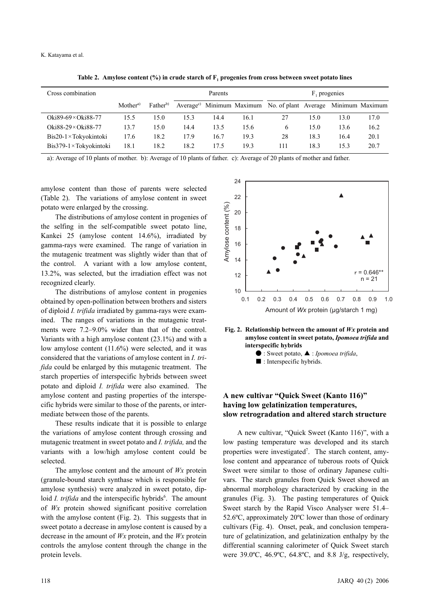K. Katayama et al.

Cross combination **Cross combination Parents** Parents **Parents** F<sub>1</sub> progenies Mother<sup>a)</sup> Father<sup>b)</sup> Average<sup>c</sup><sup>)</sup> Minimum Maximum No. of plant Average Minimum Maximum Oki89-69×Oki88-77 15.5 15.0 15.3 14.4 16.1 27 15.0 13.0 17.0 Oki88-29×Oki88-77 13.7 15.0 14.4 13.5 15.6 6 15.0 13.6 16.2 Bis20-1×Tokyokintoki 17.6 18.2 17.9 16.7 19.3 28 18.3 16.4 20.1 Bis379-1×Tokyokintoki 18.1 18.2 18.2 17.5 19.3 111 18.3 15.3 20.7

Table 2. Amylose content (%) in crude starch of F<sub>1</sub> progenies from cross between sweet potato lines

a): Average of 10 plants of mother. b): Average of 10 plants of father. c): Average of 20 plants of mother and father.

amylose content than those of parents were selected (Table 2). The variations of amylose content in sweet potato were enlarged by the crossing.

The distributions of amylose content in progenies of the selfing in the self-compatible sweet potato line, Kankei 25 (amylose content 14.6%), irradiated by gamma-rays were examined. The range of variation in the mutagenic treatment was slightly wider than that of the control. A variant with a low amylose content, 13.2%, was selected, but the irradiation effect was not recognized clearly.

The distributions of amylose content in progenies obtained by open-pollination between brothers and sisters of diploid *I. trifida* irradiated by gamma-rays were examined. The ranges of variations in the mutagenic treatments were 7.2–9.0% wider than that of the control. Variants with a high amylose content (23.1%) and with a low amylose content (11.6%) were selected, and it was considered that the variations of amylose content in *I. trifida* could be enlarged by this mutagenic treatment. The starch properties of interspecific hybrids between sweet potato and diploid *I. trifida* were also examined. The amylose content and pasting properties of the interspecific hybrids were similar to those of the parents, or intermediate between those of the parents.

These results indicate that it is possible to enlarge the variations of amylose content through crossing and mutagenic treatment in sweet potato and *I. trifida,* and the variants with a low/high amylose content could be selected.

The amylose content and the amount of *Wx* protein (granule-bound starch synthase which is responsible for amylose synthesis) were analyzed in sweet potato, diploid *I. trifida* and the interspecific hybrids<sup>6</sup>. The amount of *Wx* protein showed significant positive correlation with the amylose content (Fig. 2). This suggests that in sweet potato a decrease in amylose content is caused by a decrease in the amount of *Wx* protein, and the *Wx* protein controls the amylose content through the change in the protein levels.



**Fig. 2. Relationship between the amount of** *Wx* **protein and amylose content in sweet potato,** *Ipomoea trifida* **and interspecific hybrids**



■ : Interspecific hybrids.

## **A new cultivar "Quick Sweet (Kanto 116)" having low gelatinization temperatures, slow retrogradation and altered starch structure**

A new cultivar, "Quick Sweet (Kanto 116)", with a low pasting temperature was developed and its starch properties were investigated<sup>7</sup>. The starch content, amylose content and appearance of tuberous roots of Quick Sweet were similar to those of ordinary Japanese cultivars. The starch granules from Quick Sweet showed an abnormal morphology characterized by cracking in the granules (Fig. 3). The pasting temperatures of Quick Sweet starch by the Rapid Visco Analyser were 51.4– 52.6ºC, approximately 20ºC lower than those of ordinary cultivars (Fig. 4). Onset, peak, and conclusion temperature of gelatinization, and gelatinization enthalpy by the differential scanning calorimeter of Quick Sweet starch were 39.0ºC, 46.9ºC, 64.8ºC, and 8.8 J/g, respectively,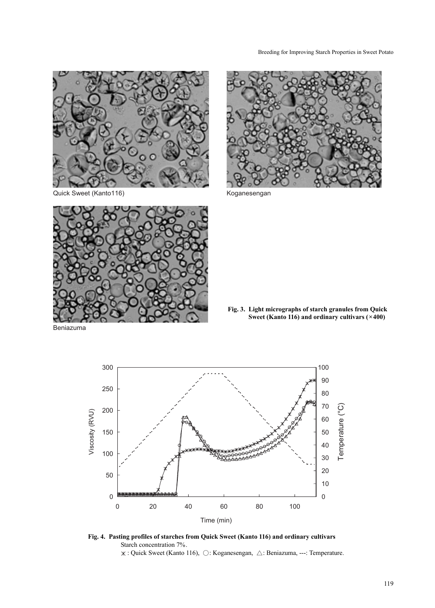

Quick Sweet (Kanto116) Manus Controller Manus Koganesengan





**Fig. 3. Light micrographs of starch granules from Quick Sweet (Kanto 116) and ordinary cultivars (×400)**

Beniazuma



**Fig. 4. Pasting profiles of starches from Quick Sweet (Kanto 116) and ordinary cultivars**  Starch concentration 7%.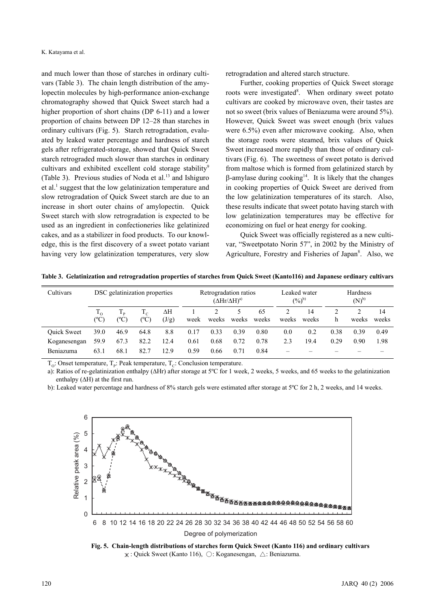and much lower than those of starches in ordinary cultivars (Table 3). The chain length distribution of the amylopectin molecules by high-performance anion-exchange chromatography showed that Quick Sweet starch had a higher proportion of short chains (DP 6-11) and a lower proportion of chains between DP 12–28 than starches in ordinary cultivars (Fig. 5). Starch retrogradation, evaluated by leaked water percentage and hardness of starch gels after refrigerated-storage, showed that Quick Sweet starch retrograded much slower than starches in ordinary cultivars and exhibited excellent cold storage stability<sup>9</sup> (Table 3). Previous studies of Noda et al.<sup>13</sup> and Ishiguro et al.<sup>1</sup> suggest that the low gelatinization temperature and slow retrogradation of Quick Sweet starch are due to an increase in short outer chains of amylopectin. Quick Sweet starch with slow retrogradation is expected to be used as an ingredient in confectioneries like gelatinized cakes, and as a stabilizer in food products. To our knowledge, this is the first discovery of a sweet potato variant having very low gelatinization temperatures, very slow retrogradation and altered starch structure.

Further, cooking properties of Quick Sweet storage roots were investigated<sup>8</sup>. When ordinary sweet potato cultivars are cooked by microwave oven, their tastes are not so sweet (brix values of Beniazuma were around 5%). However, Quick Sweet was sweet enough (brix values were 6.5%) even after microwave cooking. Also, when the storage roots were steamed, brix values of Quick Sweet increased more rapidly than those of ordinary cultivars (Fig. 6). The sweetness of sweet potato is derived from maltose which is formed from gelatinized starch by  $β$ -amylase during cooking<sup>14</sup>. It is likely that the changes in cooking properties of Quick Sweet are derived from the low gelatinization temperatures of its starch. Also, these results indicate that sweet potato having starch with low gelatinization temperatures may be effective for economizing on fuel or heat energy for cooking.

Quick Sweet was officially registered as a new cultivar, "Sweetpotato Norin 57", in 2002 by the Ministry of Agriculture, Forestry and Fisheries of Japan<sup>8</sup>. Also, we

**Table 3. Gelatinization and retrogradation properties of starches from Quick Sweet (Kanto116) and Japanese ordinary cultivars**

| Cultivars          | DSC gelatinization properties |                                 |            | Retrogradation ratios<br>$(\Delta H r / \Delta H)^{a}$ |      |       | Leaked water<br>$(\%)^{\text{b}}$ |             | <b>Hardness</b><br>$(N)^{b)}$ |             |      |       |             |
|--------------------|-------------------------------|---------------------------------|------------|--------------------------------------------------------|------|-------|-----------------------------------|-------------|-------------------------------|-------------|------|-------|-------------|
|                    | $\Gamma_0$<br>(°C)            | 1 <sub>p</sub><br>$\rm ^{(0}C)$ | T.<br>(°C) | ΔН<br>(J/g)                                            | week | weeks | weeks                             | 65<br>weeks | weeks                         | 14<br>weeks | h    | weeks | 14<br>weeks |
| <b>Ouick Sweet</b> | 39.0                          | 46.9                            | 64.8       | 8.8                                                    | 0.17 | 0.33  | 0.39                              | 0.80        | 0.0                           | 0.2         | 0.38 | 0.39  | 0.49        |
| Koganesengan       | 59.9                          | 67.3                            | 82.2       | 12.4                                                   | 0.61 | 0.68  | 0.72                              | 0.78        | 2.3                           | 19.4        | 0.29 | 0.90  | 1.98        |
| <b>Beniazuma</b>   | 63.1                          | 68.1                            | 82.7       | 12.9                                                   | 0.59 | 0.66  | 0.71                              | 0.84        |                               |             |      |       |             |

 $T_0$ : Onset temperature,  $T_P$ : Peak temperature,  $T_C$ : Conclusion temperature.

a): Ratios of re-gelatinization enthalpy (ΔHr) after storage at 5ºC for 1 week, 2 weeks, 5 weeks, and 65 weeks to the gelatinization enthalpy  $( \Delta H)$  at the first run.

b): Leaked water percentage and hardness of 8% starch gels were estimated after storage at 5ºC for 2 h, 2 weeks, and 14 weeks.



**Fig. 5. Chain-length distributions of starches form Quick Sweet (Kanto 116) and ordinary cultivars**  $\chi$ : Quick Sweet (Kanto 116),  $\circlearrowright$ : Koganesengan,  $\triangle$ : Beniazuma.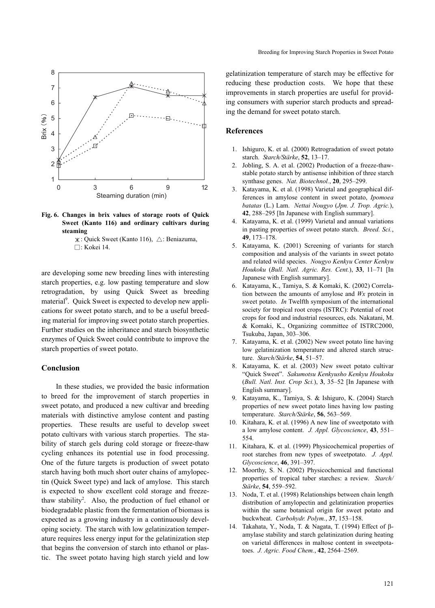



: Quick Sweet (Kanto 116), △: Beniazuma, □: Kokei 14.

are developing some new breeding lines with interesting starch properties, e.g. low pasting temperature and slow retrogradation, by using Quick Sweet as breeding material<sup>9</sup>. Quick Sweet is expected to develop new applications for sweet potato starch, and to be a useful breeding material for improving sweet potato starch properties. Further studies on the inheritance and starch biosynthetic enzymes of Quick Sweet could contribute to improve the starch properties of sweet potato.

#### **Conclusion**

In these studies, we provided the basic information to breed for the improvement of starch properties in sweet potato, and produced a new cultivar and breeding materials with distinctive amylose content and pasting properties. These results are useful to develop sweet potato cultivars with various starch properties. The stability of starch gels during cold storage or freeze-thaw cycling enhances its potential use in food processing. One of the future targets is production of sweet potato starch having both much short outer chains of amylopectin (Quick Sweet type) and lack of amylose. This starch is expected to show excellent cold storage and freezethaw stability<sup>2</sup>. Also, the production of fuel ethanol or biodegradable plastic from the fermentation of biomass is expected as a growing industry in a continuously developing society. The starch with low gelatinization temperature requires less energy input for the gelatinization step that begins the conversion of starch into ethanol or plastic. The sweet potato having high starch yield and low gelatinization temperature of starch may be effective for reducing these production costs. We hope that these improvements in starch properties are useful for providing consumers with superior starch products and spreading the demand for sweet potato starch.

#### **References**

- 1. Ishiguro, K. et al. (2000) Retrogradation of sweet potato starch. *Starch/Stärke*, **52**, 13–17.
- 2. Jobling, S. A. et al. (2002) Production of a freeze-thawstable potato starch by antisense inhibition of three starch synthase genes. *Nat. Biotechnol.*, **20**, 295–299.
- 3. Katayama, K. et al. (1998) Varietal and geographical differences in amylose content in sweet potato, *Ipomoea batatas* (L.) Lam. *Nettai Nougyo* (*Jpn. J. Trop. Agric.*), **42**, 288–295 [In Japanese with English summary].
- 4. Katayama, K. et al. (1999) Varietal and annual variations in pasting properties of sweet potato starch. *Breed. Sci.*, **49**, 173–178.
- 5. Katayama, K. (2001) Screening of variants for starch composition and analysis of the variants in sweet potato and related wild species. *Nougyo Kenkyu Center Kenkyu Houkoku* (*Bull. Natl. Agric. Res. Cent.*), **33**, 11–71 [In Japanese with English summary].
- 6. Katayama, K., Tamiya, S. & Komaki, K. (2002) Correlation between the amounts of amylose and *Wx* protein in sweet potato. *In* Twelfth symposium of the international society for tropical root crops (ISTRC): Potential of root crops for food and industrial resources, eds. Nakatani, M. & Komaki, K., Organizing committee of ISTRC2000, Tsukuba, Japan, 303–306.
- 7. Katayama, K. et al. (2002) New sweet potato line having low gelatinization temperature and altered starch structure. *Starch/Stärke*, **54**, 51–57.
- 8. Katayama, K. et al. (2003) New sweet potato cultivar "Quick Sweet". *Sakumotsu Kenkyusho Kenkyu Houkoku* (*Bull. Natl. Inst. Crop Sci.*), **3**, 35–52 [In Japanese with English summary].
- 9. Katayama, K., Tamiya, S. & Ishiguro, K. (2004) Starch properties of new sweet potato lines having low pasting temperature. *Starch/Stärke*, **56**, 563–569.
- 10. Kitahara, K. et al. (1996) A new line of sweetpotato with a low amylose content. *J. Appl. Glycoscience*, **43**, 551– 554.
- 11. Kitahara, K. et al. (1999) Physicochemical properties of root starches from new types of sweetpotato. *J. Appl. Glycoscience*, **46**, 391–397.
- 12. Moorthy, S. N. (2002) Physicochemical and functional properties of tropical tuber starches: a review. *Starch/ Stärke*, **54**, 559–592.
- 13. Noda, T. et al. (1998) Relationships between chain length distribution of amylopectin and gelatinization properties within the same botanical origin for sweet potato and buckwheat. *Carbohydr. Polym.*, **37**, 153–158.
- 14. Takahata, Y., Noda, T. & Nagata, T. (1994) Effect of βamylase stability and starch gelatinization during heating on varietal differences in maltose content in sweetpotatoes. *J. Agric. Food Chem.*, **42**, 2564–2569.